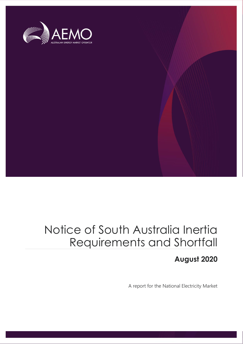

# Notice of South Australia Inertia Requirements and Shortfall

# **August 2020**

A report for the National Electricity Market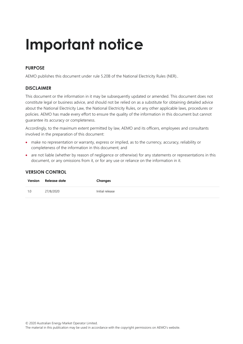# **Important notice**

# **PURPOSE**

AEMO publishes this document under rule 5.20B of the National Electricity Rules (NER)..

# **DISCLAIMER**

This document or the information in it may be subsequently updated or amended. This document does not constitute legal or business advice, and should not be relied on as a substitute for obtaining detailed advice about the National Electricity Law, the National Electricity Rules, or any other applicable laws, procedures or policies. AEMO has made every effort to ensure the quality of the information in this document but cannot guarantee its accuracy or completeness.

Accordingly, to the maximum extent permitted by law, AEMO and its officers, employees and consultants involved in the preparation of this document:

- make no representation or warranty, express or implied, as to the currency, accuracy, reliability or completeness of the information in this document; and
- are not liable (whether by reason of negligence or otherwise) for any statements or representations in this document, or any omissions from it, or for any use or reliance on the information in it.

| Version | Release date | Changes         |
|---------|--------------|-----------------|
| 1.0     | 27/8/2020    | Initial release |

### **VERSION CONTROL**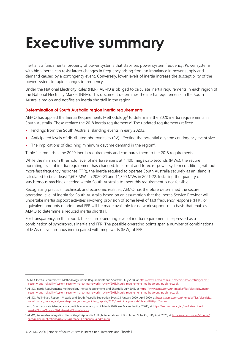# <span id="page-2-0"></span>**Executive summary**

Inertia is a fundamental property of power systems that stabilises power system frequency. Power systems with high inertia can resist larger changes in frequency arising from an imbalance in power supply and demand caused by a contingency event. Conversely, lower levels of inertia increase the susceptibility of the power system to rapid changes in frequency.

Under the National Electricity Rules (NER), AEMO is obliged to calculate inertia requirements in each region of the National Electricity Market (NEM). This document determines the inertia requirements in the South Australia region and notifies an inertia shortfall in the region.

### **Determination of South Australia region inertia requirements**

AEMO has applied the Inertia Requirements Methodology<sup>1</sup> to determine the 2020 inertia requirements in South Australia. These replace the 2018 inertia requirements<sup>2</sup>. The updated requirements reflect:

- Findings from the South Australia islanding events in early 20203.
- Anticipated levels of distributed photovoltaics (PV) affecting the potential daytime contingency event size.
- The implications of declining minimum daytime demand in the region<sup>4</sup>.

Table 1 summarises the 2020 inertia requirements and compares them to the 2018 requirements.

While the minimum threshold level of inertia remains at 4,400 megawatt-seconds (MWs), the secure operating level of inertia requirement has changed. In current and forecast power system conditions, without more fast frequency response (FFR), the inertia required to operate South Australia securely as an island is calculated to be at least 7,605 MWs in 2020-21 and 14,390 MWs in 2021-22. Installing the quantity of synchronous machines needed within South Australia to meet this requirement is not feasible.

Recognising practical, technical, and economic realities, AEMO has therefore determined the secure operating level of inertia for South Australia based on an assumption that the Inertia Service Provider will undertake inertia support activities involving provision of some level of fast frequency response (FFR), or equivalent amounts of additional FFR will be made available for network support on a basis that enables AEMO to determine a reduced inertia shortfall.

For transparency, in this report, the secure operating level of inertia requirement is expressed as a combination of synchronous inertia and FFR. The possible operating points span a number of combinations of MWs of synchronous inertia paired with megawatts (MW) of FFR.

<sup>1</sup> AEMO, Inertia Requirements Methodology Inertia Requirements and Shortfalls, July 2018, a[t https://www.aemo.com.au/-/media/files/electricity/nem/](https://www.aemo.com.au/-/media/files/electricity/nem/security_and_reliability/system-security-market-frameworks-review/2018/inertia_requirements_methodology_published.pdf) [security\\_and\\_reliability/system-security-market-frameworks-review/2018/inertia\\_requirements\\_methodology\\_published.pdf.](https://www.aemo.com.au/-/media/files/electricity/nem/security_and_reliability/system-security-market-frameworks-review/2018/inertia_requirements_methodology_published.pdf)

<sup>&</sup>lt;sup>2</sup> AEMO, Inertia Requirements Methodology Inertia Requirements and Shortfalls, July 2018, a[t https://www.aemo.com.au/-/media/files/electricity/nem/](https://www.aemo.com.au/-/media/files/electricity/nem/security_and_reliability/system-security-market-frameworks-review/2018/inertia_requirements_methodology_published.pdf) [security\\_and\\_reliability/system-security-market-frameworks-review/2018/inertia\\_requirements\\_methodology\\_published.pdf.](https://www.aemo.com.au/-/media/files/electricity/nem/security_and_reliability/system-security-market-frameworks-review/2018/inertia_requirements_methodology_published.pdf)

<sup>&</sup>lt;sup>3</sup> AEMO, Preliminary Report – Victoria and South Australia Separation Event 31 January 2020, April 2020, a[t https://aemo.com.au/-/media/files/electricity/](https://aemo.com.au/-/media/files/electricity/nem/market_notices_and_events/power_system_incident_reports/2020/preliminary-report-31-jan-2020.pdf?la=en) [nem/market\\_notices\\_and\\_events/power\\_system\\_incident\\_reports/2020/preliminary-report-31-jan-2020.pdf?la=en.](https://aemo.com.au/-/media/files/electricity/nem/market_notices_and_events/power_system_incident_reports/2020/preliminary-report-31-jan-2020.pdf?la=en)

Also South Australia islanded via a credible contingency on 2 March 2020, see Market Notice 74613, a[t https://aemo.com.au/en/market-notices?](https://aemo.com.au/en/market-notices?marketNoticeQuery=74613&marketNoticeFacets=) [marketNoticeQuery=74613&marketNoticeFacets=.](https://aemo.com.au/en/market-notices?marketNoticeQuery=74613&marketNoticeFacets=)

<sup>4</sup> AEMO, Renewable Integration Study Stage1 Appendix A: High Penetrations of Distributed Solar PV, p36, April 2020, a[t https://aemo.com.au/-/media/](https://aemo.com.au/-/media/files/major-publications/ris/2020/ris-stage-1-appendix-a.pdf?la=en) [files/major-publications/ris/2020/ris-stage-1-appendix-a.pdf?la=en.](https://aemo.com.au/-/media/files/major-publications/ris/2020/ris-stage-1-appendix-a.pdf?la=en)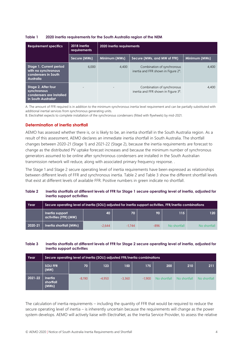| <b>Requirement specifics</b>                                                                      | 2018 inertia<br>requirements | 2020 inertia requirements |                                                                                |               |  |  |
|---------------------------------------------------------------------------------------------------|------------------------------|---------------------------|--------------------------------------------------------------------------------|---------------|--|--|
|                                                                                                   | Secure (MWs)                 | Minimum (MWs)             | Secure (MWs, and MW of FFR)                                                    | Minimum (MWs) |  |  |
| Stage 1. Current period<br>with no synchronous<br>condensers in South<br>Australia                | 6,000                        | 4,400                     | Combination of synchronous<br>inertia and FFR shown in Figure 2 <sup>A</sup> . | 4,400         |  |  |
| Stage 2. After four<br>synchronous<br>condensers are installed<br>in South Australia <sup>B</sup> | $\overline{\phantom{a}}$     |                           | Combination of synchronous<br>inertia and FFR shown in Figure 3 <sup>B</sup> . | 4,400         |  |  |

#### <span id="page-3-0"></span>**Table 1 2020 inertia requirements for the South Australia region of the NEM**

A. The amount of FFR required is in addition to the minimum synchronous inertia level requirement and can be partially substituted with additional inertial services from synchronous generating units.

B. ElectraNet expects to complete installation of the synchronous condensers (fitted with flywheels) by mid-2021.

#### **Determination of inertia shortfall**

AEMO has assessed whether there is, or is likely to be, an inertia shortfall in the South Australia region. As a result of this assessment, AEMO declares an immediate inertia shortfall in South Australia. The shortfall changes between 2020-21 (Stage 1) and 2021-22 (Stage 2), because the inertia requirements are forecast to change as the distributed PV uptake forecast increases and because the minimum number of synchronous generators assumed to be online after synchronous condensers are installed in the South Australian transmission network will reduce, along with associated primary frequency response. .

The Stage 1 and Stage 2 secure operating level of inertia requirements have been expressed as relationships between different levels of FFR and synchronous inertia. Table 2 and Table 3 show the different shortfall levels that exist at different levels of available FFR. Positive numbers in green indicate no shortfall.

### <span id="page-3-1"></span>**Table 2 Inertia shortfalls at different levels of FFR for Stage 1 secure operating level of inertia, adjusted for inertia support activities**

| Year    | Secure operating level of inertia (SOLI) adjusted for inertia support activities, FFR/inertia combinations |          |          |      |              |              |  |  |
|---------|------------------------------------------------------------------------------------------------------------|----------|----------|------|--------------|--------------|--|--|
|         | Inertia support<br>activities (FFR) (MW)                                                                   | 40       | 70       | 90   | 115          | 120          |  |  |
| 2020-21 | Inertia shortfall (MWs)                                                                                    | $-2.644$ | $-1.744$ | -896 | No shortfall | No shortfall |  |  |

#### <span id="page-3-2"></span>**Table 3 Inertia shortfalls at different levels of FFR for Stage 2 secure operating level of inertia, adjusted for inertia support activities**

| Year    | Secure operating level of inertia (SOLI) adjusted FFR/inertia combinations |          |          |          |          |              |              |              |  |
|---------|----------------------------------------------------------------------------|----------|----------|----------|----------|--------------|--------------|--------------|--|
|         | <b>SOLIFFR</b><br>(MW)                                                     | 70       | 123      | 150      | 175      | 200          | 210          | 211          |  |
| 2021-22 | <b>Inertia</b><br>shortfall<br>(MWs)                                       | $-8.190$ | $-4.950$ | $-3.360$ | $-1.900$ | No shortfall | No shortfall | No shortfall |  |

The calculation of inertia requirements – including the quantity of FFR that would be required to reduce the secure operating level of inertia – is inherently uncertain because the requirements will change as the power system develops. AEMO will actively liaise with ElectraNet, as the Inertia Service Provider, to assess the relative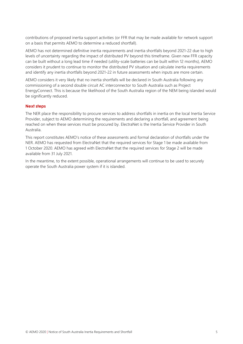contributions of proposed inertia support activities (or FFR that may be made available for network support on a basis that permits AEMO to determine a reduced shortfall).

AEMO has not determined definitive inertia requirements and inertia shortfalls beyond 2021-22 due to high levels of uncertainty regarding the impact of distributed PV beyond this timeframe. Given new FFR capacity can be built without a long lead time if needed (utility-scale batteries can be built within 12 months), AEMO considers it prudent to continue to monitor the distributed PV situation and calculate inertia requirements and identify any inertia shortfalls beyond 2021-22 in future assessments when inputs are more certain.

AEMO considers it very likely that no inertia shortfalls will be declared in South Australia following any commissioning of a second double circuit AC interconnector to South Australia such as Project EnergyConnect. This is because the likelihood of the South Australia region of the NEM being islanded would be significantly reduced.

#### **Next steps**

The NER place the responsibility to procure services to address shortfalls in inertia on the local Inertia Service Provider, subject to AEMO determining the requirements and declaring a shortfall, and agreement being reached on when these services must be procured by. ElectraNet is the Inertia Service Provider in South Australia.

This report constitutes AEMO's notice of these assessments and formal declaration of shortfalls under the NER. AEMO has requested from ElectraNet that the required services for Stage 1 be made available from 1 October 2020. AEMO has agreed with ElectraNet that the required services for Stage 2 will be made available from 31 July 2021.

In the meantime, to the extent possible, operational arrangements will continue to be used to securely operate the South Australia power system if it is islanded.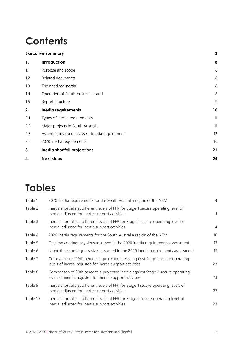# **Contents**

|     | <b>Executive summary</b>                        | $\mathbf{3}$ |
|-----|-------------------------------------------------|--------------|
| 1.  | Introduction                                    | 8            |
| 1.1 | Purpose and scope                               | 8            |
| 1.2 | Related documents                               | 8            |
| 1.3 | The need for inertia                            | 8            |
| 1.4 | Operation of South Australia island             | 8            |
| 1.5 | Report structure                                | 9            |
| 2.  | Inertia requirements                            | 10           |
| 2.1 | Types of inertia requirements                   | 11           |
| 2.2 | Major projects in South Australia               | 11           |
| 2.3 | Assumptions used to assess inertia requirements | 12           |
| 2.4 | 2020 inertia requirements                       | 16           |
| 3.  | Inertia shortfall projections                   | 21           |
| 4.  | <b>Next steps</b>                               | 24           |

# **Tables**

| Table 1  | 2020 inertia requirements for the South Australia region of the NEM                                                                            | $\overline{4}$ |
|----------|------------------------------------------------------------------------------------------------------------------------------------------------|----------------|
| Table 2  | Inertia shortfalls at different levels of FFR for Stage 1 secure operating level of<br>inertia, adjusted for inertia support activities        | $\overline{4}$ |
| Table 3  | Inertia shortfalls at different levels of FFR for Stage 2 secure operating level of<br>inertia, adjusted for inertia support activities        | $\overline{4}$ |
| Table 4  | 2020 inertia requirements for the South Australia region of the NEM                                                                            | 10             |
| Table 5  | Daytime contingency sizes assumed in the 2020 inertia requirements assessment                                                                  | 13             |
| Table 6  | Night-time contingency sizes assumed in the 2020 inertia requirements assessment                                                               | 13             |
| Table 7  | Comparison of 99th percentile projected inertia against Stage 1 secure operating<br>levels of inertia, adjusted for inertia support activities | 23             |
| Table 8  | Comparison of 99th percentile projected inertia against Stage 2 secure operating<br>levels of inertia, adjusted for inertia support activities | 23             |
| Table 9  | Inertia shortfalls at different levels of FFR for Stage 1 secure operating levels of<br>inertia, adjusted for inertia support activities       | 23             |
| Table 10 | Inertia shortfalls at different levels of FFR for Stage 2 secure operating level of<br>inertia, adjusted for inertia support activities        | 23             |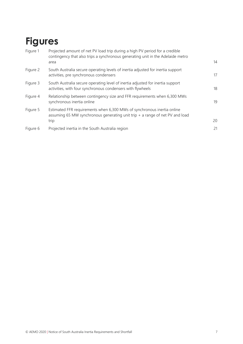# **Figures**

| Figure 1 | Projected amount of net PV load trip during a high PV period for a credible<br>contingency that also trips a synchronous generating unit in the Adelaide metro<br>area | 14 |
|----------|------------------------------------------------------------------------------------------------------------------------------------------------------------------------|----|
| Figure 2 | South Australia secure operating levels of inertia adjusted for inertia support<br>activities, pre synchronous condensers                                              | 17 |
| Figure 3 | South Australia secure operating level of inertia adjusted for inertia support<br>activities, with four synchronous condensers with flywheels                          | 18 |
| Figure 4 | Relationship between contingency size and FFR requirements when 6,300 MWs<br>synchronous inertia online                                                                | 19 |
| Figure 5 | Estimated FFR requirements when 6,300 MWs of synchronous inertia online<br>assuming 65 MW synchronous generating unit trip $+$ a range of net PV and load<br>trip      | 20 |
| Figure 6 | Projected inertia in the South Australia region                                                                                                                        | 21 |
|          |                                                                                                                                                                        |    |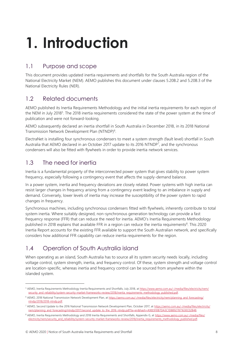# <span id="page-7-0"></span>**1. Introduction**

# <span id="page-7-1"></span>1.1 Purpose and scope

This document provides updated inertia requirements and shortfalls for the South Australia region of the National Electricity Market (NEM). AEMO publishes this document under clauses 5.20B.2 and 5.20B.3 of the National Electricity Rules (NER).

# <span id="page-7-2"></span>1.2 Related documents

AEMO published its Inertia Requirements Methodology and the initial inertia requirements for each region of the NEM in July 2018<sup>5</sup>. The 2018 inertia requirements considered the state of the power system at the time of publication and were not forward-looking.

AEMO subsequently declared an inertia shortfall in South Australia in December 2018, in its 2018 National Transmission Network Development Plan (NTNDP)<sup>6</sup>.

ElectraNet is installing four synchronous condensers to meet a system strength (fault level) shortfall in South Australia that AEMO declared in an October 2017 update to its 2016 NTNDP<sup>7</sup>, and the synchronous condensers will also be fitted with flywheels in order to provide inertia network services.

# <span id="page-7-3"></span>1.3 The need for inertia

Inertia is a fundamental property of the interconnected power system that gives stability to power system frequency, especially following a contingency event that affects the supply-demand balance.

In a power system, inertia and frequency deviations are closely related. Power systems with high inertia can resist larger changes in frequency arising from a contingency event leading to an imbalance in supply and demand. Conversely, lower levels of inertia may increase the susceptibility of the power system to rapid changes in frequency.

Synchronous machines, including synchronous condensers fitted with flywheels, inherently contribute to total system inertia. Where suitably designed, non-synchronous generation technology can provide a fast frequency response (FFR) that can reduce the need for inertia. AEMO's Inertia Requirements Methodology published in 2018 explains that available FFR in a region can reduce the inertia requirements<sup>8</sup>. This 2020 Inertia Report accounts for the existing FFR available to support the South Australian network, and specifically considers how additional FFR capability can reduce inertia requirements for the region.

# <span id="page-7-4"></span>1.4 Operation of South Australia island

When operating as an island, South Australia has to source all its system security needs locally, including voltage control, system strength, inertia, and frequency control. Of these, system strength and voltage control are location-specific, whereas inertia and frequency control can be sourced from anywhere within the islanded system.

<sup>5</sup> AEMO, Inertia Requirements Methodology Inertia Requirements and Shortfalls, July 2018, a[t https://www.aemo.com.au/-/media/files/electricity/nem/](https://www.aemo.com.au/-/media/files/electricity/nem/security_and_reliability/system-security-market-frameworks-review/2018/inertia_requirements_methodology_published.pdf) [security\\_and\\_reliability/system-security-market-frameworks-review/2018/inertia\\_requirements\\_methodology\\_published.pdf.](https://www.aemo.com.au/-/media/files/electricity/nem/security_and_reliability/system-security-market-frameworks-review/2018/inertia_requirements_methodology_published.pdf)

<sup>&</sup>lt;sup>6</sup> AEMO, 2018 National Transmission Network Development Plan, a[t https://aemo.com.au/-/media/files/electricity/nem/planning\\_and\\_forecasting/](https://aemo.com.au/-/media/files/electricity/nem/planning_and_forecasting/ntndp/2018/2018-ntndp.pdf) [ntndp/2018/2018-ntndp.pdf.](https://aemo.com.au/-/media/files/electricity/nem/planning_and_forecasting/ntndp/2018/2018-ntndp.pdf)

<sup>&</sup>lt;sup>7</sup> AEMO, Second Update to the 2016 National Transmission Network Development Plan, October 2017, at [https://aemo.com.au/-/media/files/electricity/](https://aemo.com.au/-/media/files/electricity/nem/planning_and_forecasting/ntndp/2017/second_update_to_the_2016_ntndp.pdf?la=en&hash=A9EE910B7DA3C1D88927871630C02B48) [nem/planning\\_and\\_forecasting/ntndp/2017/second\\_update\\_to\\_the\\_2016\\_ntndp.pdf?la=en&hash=A9EE910B7DA3C1D88927871630C02B48.](https://aemo.com.au/-/media/files/electricity/nem/planning_and_forecasting/ntndp/2017/second_update_to_the_2016_ntndp.pdf?la=en&hash=A9EE910B7DA3C1D88927871630C02B48)

<sup>8</sup> AEMO, Inertia Requirements Methodology and 2018 Inertia Requirements and Shortfalls, Appendix G, at [https://www.aemo.com.au/-/media/files/](https://www.aemo.com.au/-/media/files/electricity/nem/security_and_reliability/system-security-market-frameworks-review/2018/inertia_requirements_methodology_published.pdf) [electricity/nem/security\\_and\\_reliability/system-security-market-frameworks-review/2018/inertia\\_requirements\\_methodology\\_published.pdf.](https://www.aemo.com.au/-/media/files/electricity/nem/security_and_reliability/system-security-market-frameworks-review/2018/inertia_requirements_methodology_published.pdf)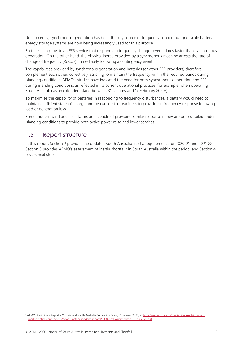Until recently, synchronous generation has been the key source of frequency control, but grid-scale battery energy storage systems are now being increasingly used for this purpose.

Batteries can provide an FFR service that responds to frequency change several times faster than synchronous generation. On the other hand, the physical inertia provided by a synchronous machine arrests the rate of change of frequency (RoCoF) immediately following a contingency event.

The capabilities provided by synchronous generation and batteries (or other FFR providers) therefore complement each other, collectively assisting to maintain the frequency within the required bands during islanding conditions. AEMO's studies have indicated the need for both synchronous generation and FFR during islanding conditions, as reflected in its current operational practices (for example, when operating South Australia as an extended island between 31 January and 17 February 2020<sup>9</sup>).

To maximise the capability of batteries in responding to frequency disturbances, a battery would need to maintain sufficient state-of-charge and be curtailed in readiness to provide full frequency response following load or generation loss.

Some modern wind and solar farms are capable of providing similar response if they are pre-curtailed under islanding conditions to provide both active power raise and lower services.

# <span id="page-8-0"></span>1.5 Report structure

In this report, Section 2 provides the updated South Australia inertia requirements for 2020-21 and 2021-22, Section 3 provides AEMO's assessment of inertia shortfalls in South Australia within the period, and Section 4 covers next steps.

<sup>9</sup> AEMO. Preliminary Report – Victoria and South Australia Separation Event, 31 January 2020, a[t https://aemo.com.au/-/media/files/electricity/nem/](https://aemo.com.au/-/media/files/electricity/nem/‌market_notices_and_events/power_system_incident_reports/2020/preliminary-report-31-jan-2020.pdf) market\_notices\_and\_events/power\_system\_incident\_reports/2020/preliminary-report-31-jan-2020.pdf.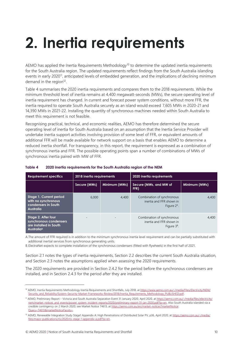# <span id="page-9-0"></span>**2. Inertia requirements**

AEMO has applied the Inertia Requirements Methodology<sup>10</sup> to determine the updated inertia requirements for the South Australia region. The updated requirements reflect findings from the South Australia islanding events in early 2020<sup>11</sup>, anticipated levels of embedded generation, and the implications of declining minimum demand in the region<sup>12</sup>.

Table 4 summarises the 2020 inertia requirements and compares them to the 2018 requirements. While the minimum threshold level of inertia remains at 4,400 megawatt-seconds (MWs), the secure operating level of inertia requirement has changed. In current and forecast power system conditions, without more FFR, the inertia required to operate South Australia securely as an island would exceed 7,605 MWs in 2020-21 and 14,390 MWs in 2021-22. Installing the quantity of synchronous machines needed within South Australia to meet this requirement is not feasible.

Recognising practical, technical, and economic realities, AEMO has therefore determined the secure operating level of inertia for South Australia based on an assumption that the Inertia Service Provider will undertake inertia support activities involving provision of some level of FFR, or equivalent amounts of additional FFR will be made available for network support on a basis that enables AEMO to determine a reduced inertia shortfall. For transparency, in this report, the requirement is expressed as a combination of synchronous inertia and FFR. The possible operating points span a number of combinations of MWs of synchronous inertia paired with MW of FFR.

| <b>Requirement specifics</b>                                                                             | 2018 inertia requirements |                        | 2020 inertia requirements                                                |       |  |  |
|----------------------------------------------------------------------------------------------------------|---------------------------|------------------------|--------------------------------------------------------------------------|-------|--|--|
| Secure (MWs)<br>Minimum (MWs)<br>FFR)                                                                    |                           | Secure (MWs, and MW of | Minimum (MWs)                                                            |       |  |  |
| Stage 1. Current period<br>with no synchronous<br>condensers in South<br>Australia                       | 6,000                     | 4,400                  | Combination of synchronous<br>inertia and FFR shown in<br>Figure $2A$ .  | 4,400 |  |  |
| Stage 2. After four<br>synchronous condensers<br>are installed in South<br><b>Australia</b> <sup>B</sup> |                           |                        | Combination of synchronous<br>inertia and FFR shown in<br>Figure $3^8$ . | 4,400 |  |  |

#### <span id="page-9-1"></span>**Table 4 2020 inertia requirements for the South Australia region of the NEM**

A.The amount of FFR required is in addition to the minimum synchronous inertia level requirement and can be partially substituted with additional inertial services from synchronous generating units.

B.ElectraNet expects to complete installation of the synchronous condensers (fitted with flywheels) in the first half of 2021.

Section 2.1 notes the types of inertia requirements, Section 2.2 describes the current South Australia situation, and Section 2.3 notes the assumptions applied when assessing the 2020 requirements.

The 2020 requirements are provided in Section 2.4.2 for the period before the synchronous condensers are installed, and in Section 2.4.3 for the period after they are installed.

<sup>&</sup>lt;sup>10</sup> AEMO, Inertia Requirements Methodology Inertia Requirements and Shortfalls, July 2018, a[t https://www.aemo.com.au/-/media/Files/Electricity/NEM/](https://www.aemo.com.au/-/media/Files/Electricity/NEM/Security_and_Reliability/System-Security-Market-Frameworks-Review/2018/Inertia_Requirements_Methodology_PUBLISHED.pdf) [Security\\_and\\_Reliability/System-Security-Market-Frameworks-Review/2018/Inertia\\_Requirements\\_Methodology\\_PUBLISHED.pdf.](https://www.aemo.com.au/-/media/Files/Electricity/NEM/Security_and_Reliability/System-Security-Market-Frameworks-Review/2018/Inertia_Requirements_Methodology_PUBLISHED.pdf)

<sup>&</sup>lt;sup>11</sup> AEMO, Preliminary Report – Victoria and South Australia Separation Event 31 January 2020, April 2020, a[t https://aemo.com.au/-/media/files/electricity/](https://aemo.com.au/-/media/files/electricity/nem/market_notices_and_events/power_system_incident_reports/2020/preliminary-report-31-jan-2020.pdf?la=en) [nem/market\\_notices\\_and\\_events/power\\_system\\_incident\\_reports/2020/preliminary-report-31-jan-2020.pdf?la=en.](https://aemo.com.au/-/media/files/electricity/nem/market_notices_and_events/power_system_incident_reports/2020/preliminary-report-31-jan-2020.pdf?la=en) Also South Australia islanded via a credible contingency on 2 March 2020; see Market Notice 74613, a[t https://aemo.com.au/en/market-notices?marketNotice](https://aemo.com.au/en/market-notices?marketNoticeQuery=74613&marketNoticeFacets=) Query=74613&marketNoticeFacets=.

<sup>&</sup>lt;sup>12</sup> AEMO, Renewable Integration Study Stage1 Appendix A: High Penetrations of Distributed Solar PV, p36, April 2020, a[t https://aemo.com.au/-/media/](https://aemo.com.au/-/media/files/major-publications/ris/2020/ris-stage-1-appendix-a.pdf?la=en) [files/major-publications/ris/2020/ris-stage-1-appendix-a.pdf?la=en.](https://aemo.com.au/-/media/files/major-publications/ris/2020/ris-stage-1-appendix-a.pdf?la=en)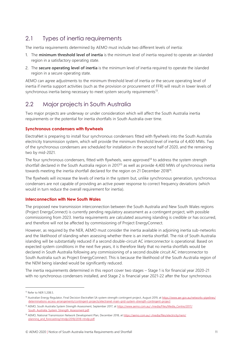# <span id="page-10-0"></span>2.1 Types of inertia requirements

The inertia requirements determined by AEMO must include two different levels of inertia:

- 1. The **minimum threshold level of inertia** is the minimum level of inertia required to operate an islanded region in a satisfactory operating state.
- 2. The **secure operating level of inertia** is the minimum level of inertia required to operate the islanded region in a secure operating state.

AEMO can agree adjustments to the minimum threshold level of inertia or the secure operating level of inertia if inertia support activities (such as the provision or procurement of FFR) will result in lower levels of synchronous inertia being necessary to meet system security requirements $13$ .

# <span id="page-10-1"></span>2.2 Major projects in South Australia

Two major projects are underway or under consideration which will affect the South Australia inertia requirements or the potential for inertia shortfalls in South Australia over time.

## **Synchronous condensers with flywheels**

ElectraNet is preparing to install four synchronous condensers fitted with flywheels into the South Australia electricity transmission system, which will provide the minimum threshold level of inertia of 4,400 MWs. Two of the synchronous condensers are scheduled for installation in the second half of 2020, and the remaining two by mid-2021.

The four synchronous condensers, fitted with flywheels, were approved<sup>14</sup> to address the system strength shortfall declared in the South Australia region in 2017<sup>15</sup> as well as provide 4,400 MWs of synchronous inertia towards meeting the inertia shortfall declared for the region on 21 December 2018<sup>16</sup>.

The flywheels will increase the levels of inertia in the system but, unlike synchronous generation, synchronous condensers are not capable of providing an active power response to correct frequency deviations (which would in turn reduce the overall requirement for inertia).

## **Interconnection with New South Wales**

The proposed new transmission interconnection between the South Australia and New South Wales regions (Project EnergyConnect) is currently pending regulatory assessment as a contingent project, with possible commissioning from 2023. Inertia requirements are calculated assuming islanding is credible or has occurred, and therefore will not be affected by commissioning of Project EnergyConnect.

However, as required by the NER, AEMO must consider the inertia available in adjoining inertia sub-networks and the likelihood of islanding when assessing whether there is an inertia shortfall. The risk of South Australia islanding will be substantially reduced if a second double-circuit AC interconnector is operational. Based on expected system conditions in the next five years, it is therefore likely that no inertia shortfalls would be declared in South Australia following any commissioning of a second double circuit AC interconnector to South Australia such as Project EnergyConnect. This is because the likelihood of the South Australia region of the NEM being islanded would be significantly reduced.

The inertia requirements determined in this report cover two stages – Stage 1 is for financial year 2020-21 with no synchronous condensers installed, and Stage 2 is financial year 2021-22 after the four synchronous

<sup>&</sup>lt;sup>13</sup> Refer to NER 5.20B.5.

<sup>&</sup>lt;sup>14</sup> Australian Energy Regulator, Final Decision ElectraNet SA system strength contingent project, August 2019, a[t https://www.aer.gov.au/networks-pipelines/](https://www.aer.gov.au/networks-pipelines/determinations-access-arrangements/contingent-projects/electranet-main-grid-system-strength-contingent-project) [determinations-access-arrangements/contingent-projects/electranet-main-grid-system-strength-contingent-project](https://www.aer.gov.au/networks-pipelines/determinations-access-arrangements/contingent-projects/electranet-main-grid-system-strength-contingent-project)

<sup>15</sup> AEMO, South Australia System Strength Assessment, September 2017, a[t https://www.aemo.com.au/-/media/Files/Media\\_Centre/2017/](https://www.aemo.com.au/-/media/Files/Media_Centre/2017/South_Australia_System_Strength_Assessment.pdf) [South\\_Australia\\_System\\_Strength\\_Assessment.pdf.](https://www.aemo.com.au/-/media/Files/Media_Centre/2017/South_Australia_System_Strength_Assessment.pdf)

<sup>16</sup> AEMO, National Transmission Network Development Plan, December 2018, a[t https://aemo.com.au/-/media/files/electricity/nem/](https://aemo.com.au/-/media/files/electricity/nem/planning_and_forecasting/ntndp/2018/2018-ntndp.pdf) [planning\\_and\\_forecasting/ntndp/2018/2018-ntndp.pdf.](https://aemo.com.au/-/media/files/electricity/nem/planning_and_forecasting/ntndp/2018/2018-ntndp.pdf)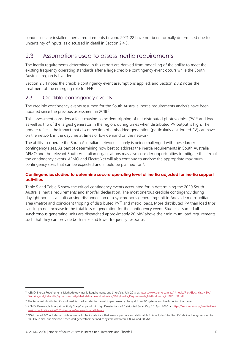condensers are installed. Inertia requirements beyond 2021-22 have not been formally determined due to uncertainty of inputs, as discussed in detail in Section 2.4.3.

# <span id="page-11-0"></span>2.3 Assumptions used to assess inertia requirements

The inertia requirements determined in this report are derived from modelling of the ability to meet the existing frequency operating standards after a large credible contingency event occurs while the South Australia region is islanded.

Section 2.3.1 notes the credible contingency event assumptions applied, and Section [2.3.2](#page-13-1) notes the treatment of the emerging role for FFR.

# 2.3.1 Credible contingency events

The credible contingency events assumed for the South Australia inertia requirements analysis have been updated since the previous assessment in 2018<sup>17</sup>.

This assessment considers a fault causing coincident tripping of net distributed photovoltaics (PV)<sup>18</sup> and load as well as trip of the largest generator in the region, during times when distributed PV output is high. The update reflects the impact that disconnection of embedded generation (particularly distributed PV) can have on the network in the daytime at times of low demand on the network.

The ability to operate the South Australian network securely is being challenged with these larger contingency sizes. As part of determining how best to address the inertia requirements in South Australia, AEMO and the relevant South Australian organisations may also consider opportunities to mitigate the size of the contingency events. AEMO and ElectraNet will also continue to analyse the appropriate maximum contingency sizes that can be expected and should be planned for<sup>19</sup>.

### **Contingencies studied to determine secure operating level of inertia adjusted for inertia support activities**

Table 5 and Table 6 show the critical contingency events accounted for in determining the 2020 South Australia inertia requirements and shortfall declaration. The most onerous credible contingency during daylight hours is a fault causing disconnection of a synchronous generating unit in Adelaide metropolitan area (metro) and coincident tripping of distributed PV<sup>20</sup> and metro loads. More distributed PV than load trips, causing a net increase in the total loss of generation for the contingency event. Studies assumed all synchronous generating units are dispatched approximately 20 MW above their minimum load requirements, such that they can provide both raise and lower frequency response.

<sup>17</sup> AEMO, Inertia Requirements Methodology Inertia Requirements and Shortfalls, July 2018, a[t https://www.aemo.com.au/-/media/Files/Electricity/NEM/](https://www.aemo.com.au/-/media/Files/Electricity/NEM/Security_and_Reliability/System-Security-Market-Frameworks-Review/2018/Inertia_Requirements_Methodology_PUBLISHED.pdf) [Security\\_and\\_Reliability/System-Security-Market-Frameworks-Review/2018/Inertia\\_Requirements\\_Methodology\\_PUBLISHED.pdf.](https://www.aemo.com.au/-/media/Files/Electricity/NEM/Security_and_Reliability/System-Security-Market-Frameworks-Review/2018/Inertia_Requirements_Methodology_PUBLISHED.pdf)

<sup>&</sup>lt;sup>18</sup> The term 'net distributed PV and load' is used to refer to the net impact seen by the grid from PV systems and loads behind the meter.

<sup>&</sup>lt;sup>19</sup> AEMO, Renewable Integration Study Stage1 Appendix A: High Penetrations of Distributed Solar PV, p36, April 2020, a[t https://aemo.com.au/-/media/files/](https://aemo.com.au/-/media/files/major-publications/ris/2020/ris-stage-1-appendix-a.pdf?la=en) [major-publications/ris/2020/ris-stage-1-appendix-a.pdf?la=en.](https://aemo.com.au/-/media/files/major-publications/ris/2020/ris-stage-1-appendix-a.pdf?la=en)

<sup>&</sup>lt;sup>20</sup> "Distributed PV" includes all grid-connected solar installations that are not part of central dispatch. This includes "Rooftop PV" defined as systems up to 100 kW in size, and "PV non-scheduled generators" defined as systems between 100 kW and 30 MW.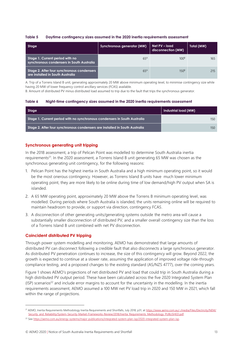#### <span id="page-12-0"></span>**Table 5 Daytime contingency sizes assumed in the 2020 inertia requirements assessment**

| Stage                                                                          | Synchronous generator (MW) | Net PV - load<br>disconnection (MW) | Total (MW) |
|--------------------------------------------------------------------------------|----------------------------|-------------------------------------|------------|
| Stage 1. Current period with no<br>synchronous condensers in South Australia   | 65 <sup>A</sup>            | 100 <sup>B</sup>                    | 165        |
| Stage 2. After four synchronous condensers<br>are installed in South Australia | 65 <sup>A</sup>            | 150 <sup>B</sup>                    | 215        |

A. Trip of a Torrens Island B unit, generating approximately 20 MW above minimum operating level, to minimise contingency size while having 20 MW of lower frequency control ancillary services (FCAS) available.

B. Amount of distributed PV minus distributed load assumed to trip due to the fault that trips the synchronous generator.

#### <span id="page-12-1"></span>**Table 6 Night-time contingency sizes assumed in the 2020 inertia requirements assessment**

| Stage                                                                       | Industrial load (MW) |
|-----------------------------------------------------------------------------|----------------------|
| Stage 1. Current period with no synchronous condensers in South Australia   | 150                  |
| Stage 2. After four synchronous condensers are installed in South Australia | 150 <sup>°</sup>     |

### **Synchronous generating unit tripping**

In the 2018 assessment, a trip of Pelican Point was modelled to determine South Australia inertia requirements<sup>21</sup>. In the 2020 assessment, a Torrens Island B unit generating 65 MW was chosen as the synchronous generating unit contingency, for the following reasons:

- 1. Pelican Point has the highest inertia in South Australia and a high minimum operating point, so it would be the most onerous contingency. However, as Torrens Island B units have much lower minimum operating point, they are more likely to be online during time of low demand/high PV output when SA is islanded.
- 2. A 65 MW operating point, approximately 20 MW above the Torrens B minimum operating level, was modelled. During periods where South Australia is islanded, the units remaining online will be required to maintain headroom to provide, or support via direction, contingency FCAS.
- 3. A disconnection of other generating units/generating systems outside the metro area will cause a substantially smaller disconnection of distributed PV, and a smaller overall contingency size than the loss of a Torrens Island B unit combined with net PV disconnection.

### **Coincident distributed PV tripping**

Through power system modelling and monitoring, AEMO has demonstrated that large amounts of distributed PV can disconnect following a credible fault that also disconnects a large synchronous generator. As distributed PV penetration continues to increase, the size of this contingency will grow. Beyond 2022, the growth is expected to continue at a slower rate, assuming the application of improved voltage ride-through compliance testing, and a proposed changes to the existing standard (AS/NZS 4777), over the coming years.

Figure 1 shows AEMO's projections of net distributed PV and load that could trip in South Australia during a high distributed PV output period. These have been calculated across the five 2020 Integrated System Plan  $(ISP)$  scenarios<sup>22</sup> and include error margins to account for the uncertainty in the modelling. In the inertia requirements assessment, AEMO assumed a 100 MW net PV load trip in 2020 and 150 MW in 2021, which fall within the range of projections.

<sup>&</sup>lt;sup>21</sup> AEMO, Inertia Requirements Methodology Inertia Requirements and Shortfalls, July 2018, p31, at [https://www.aemo.com.au/-/media/Files/Electricity/NEM/](https://www.aemo.com.au/-/media/Files/Electricity/NEM/Security_and_Reliability/System-Security-Market-Frameworks-Review/2018/Inertia_Requirements_Methodology_PUBLISHED.pdf) [Security\\_and\\_Reliability/System-Security-Market-Frameworks-Review/2018/Inertia\\_Requirements\\_Methodology\\_PUBLISHED.pdf.](https://www.aemo.com.au/-/media/Files/Electricity/NEM/Security_and_Reliability/System-Security-Market-Frameworks-Review/2018/Inertia_Requirements_Methodology_PUBLISHED.pdf)

<sup>&</sup>lt;sup>22</sup> Se[e https://aemo.com.au/energy-systems/major-publications/integrated-system-plan-isp/2020-integrated-system-plan-isp.](https://aemo.com.au/energy-systems/major-publications/integrated-system-plan-isp/2020-integrated-system-plan-isp)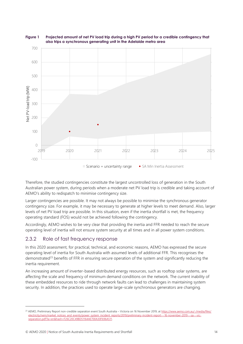

#### <span id="page-13-0"></span>**Figure 1 Projected amount of net PV load trip during a high PV period for a credible contingency that also trips a synchronous generating unit in the Adelaide metro area**

Therefore, the studied contingencies constitute the largest uncontrolled loss of generation in the South Australian power system, during periods when a moderate net PV load trip is credible and taking account of AEMO's ability to redispatch to minimise contingency size.

Larger contingencies are possible. It may not always be possible to minimise the synchronous generator contingency size. For example, it may be necessary to generate at higher levels to meet demand. Also, larger levels of net PV load trip are possible. In this situation, even if the inertia shortfall is met, the frequency operating standard (FOS) would not be achieved following the contingency.

Accordingly, AEMO wishes to be very clear that providing the inertia and FFR needed to reach the secure operating level of inertia will not ensure system security at all times and in all power system conditions.

# <span id="page-13-1"></span>2.3.2 Role of fast frequency response

In this 2020 assessment, for practical, technical, and economic reasons, AEMO has expressed the secure operating level of inertia for South Australia with assumed levels of additional FFR. This recognises the demonstrated<sup>23</sup> benefits of FFR in ensuring secure operation of the system and significantly reducing the inertia requirement.

An increasing amount of inverter-based distributed energy resources, such as rooftop solar systems, are affecting the scale and frequency of minimum demand conditions on the network. The current inability of these embedded resources to ride through network faults can lead to challenges in maintaining system security. In addition, the practices used to operate large-scale synchronous generators are changing.

<sup>&</sup>lt;sup>23</sup> AEMO, Preliminary Report non-credible separation event South Australia – Victoria on 16 November 2019, a[t https://www.aemo.com.au/-/media/files/](https://www.aemo.com.au/-/media/files/electricity/nem/market_notices_and_events/power_system_incident_reports/2019/preliminary-incident-report---16-november-2019---sa---vic-separation.pdf?la=en&hash=F26C20C49BD51164AE700A30F696A511) [electricity/nem/market\\_notices\\_and\\_events/power\\_system\\_incident\\_reports/2019/preliminary-incident-report---16-november-2019---sa---vic](https://www.aemo.com.au/-/media/files/electricity/nem/market_notices_and_events/power_system_incident_reports/2019/preliminary-incident-report---16-november-2019---sa---vic-separation.pdf?la=en&hash=F26C20C49BD51164AE700A30F696A511)separation.pdf?la=en&hash=F26C20C49BD51164AE700A30F696A511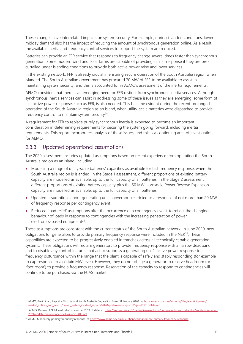These changes have interrelated impacts on system security. For example, during islanded conditions, lower midday demand also has the impact of reducing the amount of synchronous generation online. As a result, the available inertia and frequency control services to support the system are reduced.

Batteries can provide an FFR service that responds to frequency change several times faster than synchronous generation. Some modern wind and solar farms are capable of providing similar response if they are precurtailed under islanding conditions to provide both active power raise and lower services.

In the existing network, FFR is already crucial in ensuring secure operation of the South Australia region when islanded. The South Australian government has procured 70 MW of FFR to be available to assist in maintaining system security, and this is accounted for in AEMO's assessment of the inertia requirements.

AEMO considers that there is an emerging need for FFR distinct from synchronous inertia services. Although synchronous inertia services can assist in addressing some of these issues as they are emerging, some form of fast active power response, such as FFR, is also needed. This became evident during the recent prolonged operation of the South Australia region as an island, when utility-scale batteries were dispatched to provide frequency control to maintain system security $24$ .

A requirement for FFR to replace purely synchronous inertia is expected to become an important consideration in determining requirements for securing the system going forward, including inertia requirements. This report incorporates analysis of these issues, and this is a continuing area of investigation for AEMO.

# 2.3.3 Updated operational assumptions

The 2020 assessment includes updated assumptions based on recent experience from operating the South Australia region as an island, including:

- Modelling a range of utility-scale batteries' capacities as available for fast frequency response, when the South Australia region is islanded. In the Stage 1 assessment, different proportions of existing battery capacity are modelled as available, up to the full capacity of all batteries. In the Stage 2 assessment, different proportions of existing battery capacity plus the 50 MW Hornsdale Power Reserve Expansion capacity are modelled as available, up to the full capacity of all batteries.
- Updated assumptions about generating units' governors restricted to a response of not more than 20 MW of frequency response per contingency event.
- Reduced 'load relief' assumptions after the occurrence of a contingency event, to reflect the changing behaviour of loads in response to contingencies with the increasing penetration of power electronics-based equipment<sup>25</sup>.

These assumptions are consistent with the current status of the South Australian network. In June 2020, new obligations for generators to provide primary frequency response were included in the NER<sup>26</sup>. These capabilities are expected to be progressively enabled in tranches across all technically capable generating systems. These obligations will require generators to provide frequency response with a narrow deadband, and to disable any control features that act to suppress a generating unit's active power response to a frequency disturbance within the range that the plant is capable of safely and stably responding (for example to cap response to a certain MW level). However, they do not oblige a generator to reserve headroom (or 'foot room') to provide a frequency response. Reservation of the capacity to respond to contingencies will continue to be purchased via the FCAS market.

<sup>&</sup>lt;sup>24</sup> AEMO, Preliminary Report – Victoria and South Australia Separation Event 31 January 2020, a[t https://aemo.com.au/-/media/files/electricity/nem/](https://aemo.com.au/-/media/files/electricity/nem/market_notices_and_events/power_system_incident_reports/2020/preliminary-report-31-jan-2020.pdf?la=en) [market\\_notices\\_and\\_events/power\\_system\\_incident\\_reports/2020/preliminary-report-31-jan-2020.pdf?la=en.](https://aemo.com.au/-/media/files/electricity/nem/market_notices_and_events/power_system_incident_reports/2020/preliminary-report-31-jan-2020.pdf?la=en)

<sup>&</sup>lt;sup>25</sup> AEMO, Review of NEM load relief November 2019 Update, at: [https://aemo.com.au/-/media/files/electricity/nem/security\\_and\\_reliability/ancillary\\_services/](https://aemo.com.au/-/media/files/electricity/nem/security_and_reliability/ancillary_services/2019/update-on-contingency-fcas-nov-2019.pdf) [2019/update-on-contingency-fcas-nov-2019.pdf.](https://aemo.com.au/-/media/files/electricity/nem/security_and_reliability/ancillary_services/2019/update-on-contingency-fcas-nov-2019.pdf)

<sup>&</sup>lt;sup>26</sup> AEMC. Mandatory primary frequency response, a[t https://www.aemc.gov.au/rule-changes/mandatory-primary-frequency-response.](https://www.aemc.gov.au/rule-changes/mandatory-primary-frequency-response)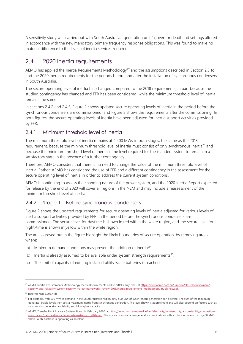A sensitivity study was carried out with South Australian generating units' governor deadband settings altered in accordance with the new mandatory primary frequency response obligations. This was found to make no material difference to the levels of inertia services required.

# <span id="page-15-0"></span>2.4 2020 inertia requirements

AEMO has applied the Inertia Requirements Methodology<sup>27</sup> and the assumptions described in Section 2.3 to find the 2020 inertia requirements for the periods before and after the installation of synchronous condensers in South Australia.

The secure operating level of inertia has changed compared to the 2018 requirements, in part because the studied contingency has changed and FFR has been considered, while the minimum threshold level of inertia remains the same.

In sections 2.4.2 and 2.4.3, Figure 2 shows updated secure operating levels of inertia in the period before the synchronous condensers are commissioned, and Figure 3 shows the requirements after the commissioning. In both figures, the secure operating levels of inertia have been adjusted for inertia support activities provided by FFR.

# 2.4.1 Minimum threshold level of inertia

The minimum threshold level of inertia remains at 4,400 MWs in both stages, the same as the 2018 requirement, because the minimum threshold level of inertia must consist of only synchronous inertia<sup>28</sup> and because the minimum threshold level of inertia is the level required for the islanded system to remain in a satisfactory state in the absence of a further contingency.

Therefore, AEMO considers that there is no need to change the value of the minimum threshold level of inertia. Rather, AEMO has considered the use of FFR and a different contingency in the assessment for the secure operating level of inertia in order to address the current system conditions.

AEMO is continuing to assess the changing nature of the power system, and the 2020 Inertia Report expected for release by the end of 2020 will cover all regions in the NEM and may include a reassessment of the minimum threshold level of inertia.

# 2.4.2 Stage 1 – Before synchronous condensers

Figure 2 shows the updated requirements for secure operating levels of inertia adjusted for various levels of inertia support activities provided by FFR, in the period before the synchronous condensers are commissioned. The secure level for daytime is shown in red within the white region, and the secure level for night-time is shown in yellow within the white region.

The areas greyed out in the figure highlight the likely boundaries of secure operation, by removing areas where:

- a) Minimum demand conditions may prevent the addition of inertia<sup>29</sup>.
- b) Inertia is already assumed to be available under system strength requirements<sup>30</sup>.
- c) The limit of capacity of existing installed utility-scale batteries is reached.

<sup>&</sup>lt;sup>27</sup> AEMO, Inertia Requirements Methodology Inertia Requirements and Shortfalls, July 2018, a[t https://www.aemo.com.au/-/media/files/electricity/nem/](https://www.aemo.com.au/-/media/files/electricity/nem/security_and_reliability/system-security-market-frameworks-review/2018/inertia_requirements_methodology_published.pdf) [security\\_and\\_reliability/system-security-market-frameworks-review/2018/inertia\\_requirements\\_methodology\\_published.pdf.](https://www.aemo.com.au/-/media/files/electricity/nem/security_and_reliability/system-security-market-frameworks-review/2018/inertia_requirements_methodology_published.pdf)

<sup>28</sup> Refer to NER 5.20B.4(d).

<sup>&</sup>lt;sup>29</sup> For example, with 500 MW of demand in the South Australia region, only 500 MW of synchronous generation can operate. The sum of the minimum generator stable levels then sets a maximum inertia from synchronous generation. The level shown is approximate and will also depend on factors such as synchronous generator availability and Murraylink capacity.

<sup>30</sup> AEMO, Transfer Limit Advice – System Strength, February 2020, a[t https://aemo.com.au/-/media/files/electricity/nem/security\\_and\\_reliability/congestion](https://aemo.com.au/-/media/files/electricity/nem/security_and_reliability/congestion-information/transfer-limit-advice-system-strength.pdf?la=en)[information/transfer-limit-advice-system-strength.pdf?la=en.](https://aemo.com.au/-/media/files/electricity/nem/security_and_reliability/congestion-information/transfer-limit-advice-system-strength.pdf?la=en) This advice does not allow generator combinations with a total inertia less than 4,400 MWs when South Australia is operating as an island.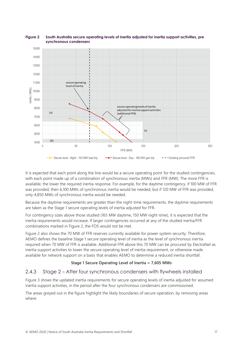

#### <span id="page-16-0"></span>**Figure 2 South Australia secure operating levels of inertia adjusted for inertia support activities, pre synchronous condensers**

It is expected that each point along the line would be a secure operating point for the studied contingencies, with each point made up of a combination of synchronous inertia (MWs) and FFR (MW). The more FFR is available, the lower the required inertia response. For example, for the daytime contingency, if 100 MW of FFR was provided, then 6,100 MWs of synchronous inertia would be needed, but if 120 MW of FFR was provided, only 4,850 MWs of synchronous inertia would be needed.

Because the daytime requirements are greater than the night-time requirements, the daytime requirements are taken as the Stage 1 secure operating levels of inertia adjusted for FFR.

For contingency sizes above those studied (165 MW daytime, 150 MW night-time), it is expected that the inertia requirements would increase. If larger contingencies occurred at any of the studied inertia/FFR combinations marked in Figure 2, the FOS would not be met.

Figure 2 also shows the 70 MW of FFR reserves currently available for power system security. Therefore, AEMO defines the baseline Stage 1 secure operating level of inertia as the level of synchronous inertia required when 70 MW of FFR is available. Additional FFR above this 70 MW can be procured by ElectraNet as inertia support activities to lower the secure operating level of inertia requirement, or otherwise made available for network support on a basis that enables AEMO to determine a reduced inertia shortfall.

## **Stage 1 Secure Operating Level of Inertia = 7,605 MWs**

# 2.4.3 Stage 2 – After four synchronous condensers with flywheels installed

Figure 3 shows the updated inertia requirements for secure operating levels of inertia adjusted for assumed inertia support activities, in the period after the four synchronous condensers are commissioned.

The areas greyed out in the figure highlight the likely boundaries of secure operation, by removing areas where: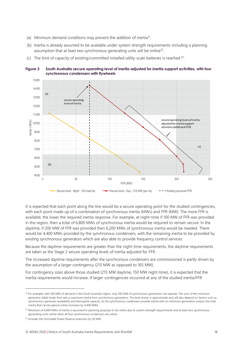- (a) Minimum demand conditions may prevent the addition of inertia<sup>31</sup>.
- (b) Inertia is already assumed to be available under system strength requirements including a planning assumption that at least two synchronous generating units will be online<sup>32</sup>.
- (c) The limit of capacity of existing/committed installed utility-scale batteries is reached  $33$ .



<span id="page-17-0"></span>**Figure 3 South Australia secure operating level of inertia adjusted for inertia support activities, with four synchronous condensers with flywheels**

It is expected that each point along the line would be a secure operating point for the studied contingencies, with each point made up of a combination of synchronous inertia (MWs) and FFR (MW). The more FFR is available, the lower the required inertia response. For example, at night-time if 100 MW of FFR was provided in the region, then a total of 6,800 MWs of synchronous inertia would be required to remain secure. In the daytime, if 200 MW of FFR was provided then 6,200 MWs of synchronous inertia would be needed. There would be 4,400 MWs provided by the synchronous condensers, with the remaining inertia to be provided by existing synchronous generators which are also able to provide frequency control services.

Because the daytime requirements are greater than the night-time requirements, the daytime requirements are taken as the Stage 2 secure operating levels of inertia adjusted for FFR.

The increased daytime requirements after the synchronous condensers are commissioned is partly driven by the assumption of a larger contingency (215 MW as opposed to 165 MW).

For contingency sizes above those studied (215 MW daytime, 150 MW night-time), it is expected that the inertia requirements would increase. If larger contingencies occurred at any of the studied inertia/FFR

<sup>&</sup>lt;sup>31</sup> For example, with 500 MW of demand in the South Australia region, only 500 MW of synchronous generation can operate. The sum of the minimum generator stable levels then sets a maximum inertia from synchronous generation. The level shown is approximate and will also depend on factors such as synchronous generator availability and Murraylink capacity. As the synchronous condensers provide inertia with no minimum generation output, the total inertia that can be placed online increases by 4,400 MWs.

<sup>&</sup>lt;sup>32</sup> Minimum of 6,400 MWs of inertia is assumed for planning purposes to be online due to system strength requirements and at least two synchronous generating units online when all four synchronous condensers are online.

<sup>&</sup>lt;sup>33</sup> Includes the Hornsdale Power Reserve extension by 50 MW.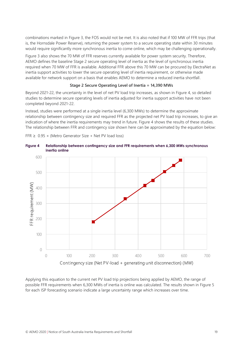combinations marked in [Figure 3,](#page-17-0) the FOS would not be met. It is also noted that if 100 MW of FFR trips (that is, the Hornsdale Power Reserve), returning the power system to a secure operating state within 30 minutes would require significantly more synchronous inertia to come online, which may be challenging operationally.

Figure 3 also shows the 70 MW of FFR reserves currently available for power system security. Therefore, AEMO defines the baseline Stage 2 secure operating level of inertia as the level of synchronous inertia required when 70 MW of FFR is available. Additional FFR above this 70 MW can be procured by ElectraNet as inertia support activities to lower the secure operating level of inertia requirement, or otherwise made available for network support on a basis that enables AEMO to determine a reduced inertia shortfall.

### **Stage 2 Secure Operating Level of Inertia = 14,390 MWs**

Beyond 2021-22, the uncertainty in the level of net PV load trip increases, as shown i[n Figure 4,](#page-18-0) so detailed studies to determine secure operating levels of inertia adjusted for inertia support activities have not been completed beyond 2021-22.

Instead, studies were performed at a single inertia level (6,300 MWs) to determine the approximate relationship between contingency size and required FFR as the projected net PV load trip increases, to give an indication of where the inertia requirements may trend in future. Figure 4 shows the results of these studies. The relationship between FFR and contingency size shown here can be approximated by the equation below:

FFR  $\geq$  0.95  $\times$  (Metro Generator Size + Net PV load loss)



<span id="page-18-0"></span>

Applying this equation to the current net PV load trip projections being applied by AEMO, the range of possible FFR requirements when 6,300 MWs of inertia is online was calculated. The results shown in Figure 5 for each ISP forecasting scenario indicate a large uncertainty range which increases over time.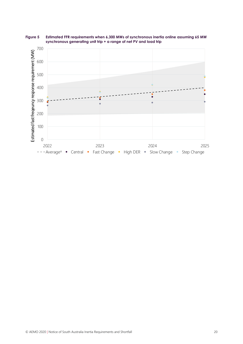

<span id="page-19-0"></span>**Figure 5 Estimated FFR requirements when 6,300 MWs of synchronous inertia online assuming 65 MW synchronous generating unit trip + a range of net PV and load trip**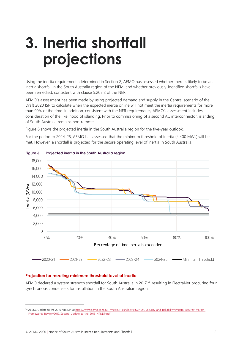# <span id="page-20-0"></span>**3. Inertia shortfall projections**

Using the inertia requirements determined in Section [2,](#page-9-0) AEMO has assessed whether there is likely to be an inertia shortfall in the South Australia region of the NEM, and whether previously-identified shortfalls have been remedied, consistent with clause 5.20B.2 of the NER.

AEMO's assessment has been made by using projected demand and supply in the Central scenario of the Draft 2020 ISP to calculate when the expected inertia online will not meet the inertia requirements for more than 99% of the time. In addition, consistent with the NER requirements, AEMO's assessment includes consideration of the likelihood of islanding. Prior to commissioning of a second AC interconnector, islanding of South Australia remains non-remote.

Figure 6 shows the projected inertia in the South Australia region for the five-year outlook.

For the period to 2024-25, AEMO has assessed that the minimum threshold of inertia (4,400 MWs) will be met. However, a shortfall is projected for the secure operating level of inertia in South Australia.



<span id="page-20-1"></span>

### **Projection for meeting minimum threshold level of inertia**

AEMO declared a system strength shortfall for South Australia in 2017<sup>34</sup>, resulting in ElectraNet procuring four synchronous condensers for installation in the South Australian region.

<sup>34</sup> AEMO. Update to the 2016 NTNDP, at https://www.aemo.com.au/-/media/Files/Electricity/NEM/Security and Reliability/System-Security-Market-[Frameworks-Review/2019/Second\\_Update\\_to\\_the\\_2016\\_NTNDP.pdf.](https://www.aemo.com.au/-/media/Files/Electricity/NEM/Security_and_Reliability/System-Security-Market-Frameworks-Review/2019/Second_Update_to_the_2016_NTNDP.pdf)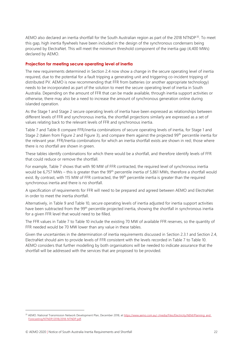AEMO also declared an inertia shortfall for the South Australian region as part of the 2018 NTNDP<sup>35</sup>. To meet this gap, high inertia flywheels have been included in the design of the synchronous condensers being procured by ElectraNet. This will meet the minimum threshold component of the inertia gap (4,400 MWs) declared by AEMO.

### **Projection for meeting secure operating level of inertia**

The new requirements determined in Section [2.4](#page-15-0) now show a change in the secure operating level of inertia required, due to the potential for a fault tripping a generating unit and triggering co-incident tripping of distributed PV. AEMO is now recommending that FFR from batteries (or another appropriate technology) needs to be incorporated as part of the solution to meet the secure operating level of inertia in South Australia. Depending on the amount of FFR that can be made available, through inertia support activities or otherwise, there may also be a need to increase the amount of synchronous generation online during islanded operation.

As the Stage 1 and Stage 2 secure operating levels of inertia have been expressed as relationships between different levels of FFR and synchronous inertia, the shortfall projections similarly are expressed as a set of values relating back to the relevant levels of FFR and synchronous inertia.

Table 7 and Table 8 compare FFR/inertia combinations of secure operating levels of inertia, for Stage 1 and Stage 2 (taken from Figure 2 and Figure 3), and compare them against the projected 99th percentile inertia for the relevant year. FFR/Inertia combinations for which an inertia shortfall exists are shown in red; those where there is no shortfall are shown in green.

These tables identify combinations for which there would be a shortfall, and therefore identify levels of FFR that could reduce or remove the shortfall.

For example, Table 7 shows that with 90 MW of FFR contracted, the required level of synchronous inertia would be 6,757 MWs – this is greater than the 99<sup>th</sup> percentile inertia of 5,861 MWs, therefore a shortfall would exist. By contrast, with 115 MW of FFR contracted, the 99<sup>th</sup> percentile inertia is greater than the required synchronous inertia and there is no shortfall.

A specification of requirements for FFR will need to be prepared and agreed between AEMO and ElectraNet in order to meet the inertia shortfall.

Alternatively, in Table 9 and Table 10, secure operating levels of inertia adjusted for inertia support activities have been subtracted from the 99<sup>th</sup> percentile projected inertia, showing the shortfall in synchronous inertia for a given FFR level that would need to be filled.

The FFR values in Table 7 to Table 10 include the existing 70 MW of available FFR reserves, so the quantity of FFR needed would be 70 MW lower than any value in these tables.

Given the uncertainties in the determination of inertia requirements discussed in Section 2.3.1 and Section 2.4, ElectraNet should aim to provide levels of FFR consistent with the levels recorded in Table 7 to Table 10. AEMO considers that further modelling by both organisations will be needed to indicate assurance that the shortfall will be addressed with the services that are proposed to be provided.

<sup>35</sup> AEMO. National Transmission Network Development Plan, December 2018, a[t https://www.aemo.com.au/-/media/Files/Electricity/NEM/Planning\\_and\\_](https://www.aemo.com.au/-/media/Files/Electricity/NEM/Planning_and_Forecasting/NTNDP/2018/2018-NTNDP.pdf) [Forecasting/NTNDP/2018/2018-NTNDP.pdf.](https://www.aemo.com.au/-/media/Files/Electricity/NEM/Planning_and_Forecasting/NTNDP/2018/2018-NTNDP.pdf)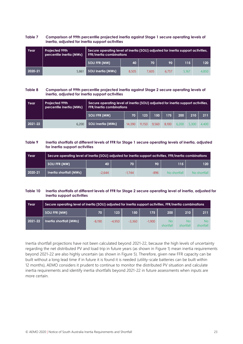#### <span id="page-22-0"></span>**Table 7 Comparison of 99th percentile projected inertia against Stage 1 secure operating levels of inertia, adjusted for inertia support activities**

| Year    | <b>Projected 99th</b><br>percentile inertia (MWs) |                           | Secure operating level of inertia (SOLI) adjusted for inertia support activities,<br><b>FFR/inertia combinations</b> |       |       |       |       |  |  |  |
|---------|---------------------------------------------------|---------------------------|----------------------------------------------------------------------------------------------------------------------|-------|-------|-------|-------|--|--|--|
|         |                                                   | <b>SOLI FFR (MW)</b>      | 40                                                                                                                   | 70    | 90    | 115   | 120   |  |  |  |
| 2020-21 | 5,861                                             | <b>SOLI inertia (MWs)</b> | 8.505                                                                                                                | 7.605 | 6.757 | 5.167 | 4,850 |  |  |  |

#### <span id="page-22-1"></span>**Table 8 Comparison of 99th percentile projected inertia against Stage 2 secure operating levels of inertia, adjusted for inertia support activities**

| Year        | <b>Projected 99th</b><br>percentile inertia (MWs) |                           | Secure operating level of inertia (SOLI) adjusted for inertia support activities,<br><b>FFR/inertia combinations</b> |        |       |       |       |       |       |
|-------------|---------------------------------------------------|---------------------------|----------------------------------------------------------------------------------------------------------------------|--------|-------|-------|-------|-------|-------|
|             |                                                   | <b>SOLI FFR (MW)</b>      | 70                                                                                                                   | 123    | 150   | 175   | 200   | 210   | 211   |
| $2021 - 22$ | 6,200                                             | <b>SOLI Inertia (MWs)</b> | 14.390                                                                                                               | 11.150 | 9.560 | 8.100 | 6,200 | 5,300 | 4.400 |

#### <span id="page-22-2"></span>**Table 9 Inertia shortfalls at different levels of FFR for Stage 1 secure operating levels of inertia, adjusted for inertia support activities**

| Year    | Secure operating level of inertia (SOLI) adjusted for inertia support activities, FFR/inertia combinations |          |          |        |              |              |  |  |  |  |  |  |  |
|---------|------------------------------------------------------------------------------------------------------------|----------|----------|--------|--------------|--------------|--|--|--|--|--|--|--|
|         | <b>SOLI FFR (MW)</b>                                                                                       | 40       | 70       | 90     | 115          | 120          |  |  |  |  |  |  |  |
| 2020-21 | Inertia shortfall (MWs)                                                                                    | $-2.644$ | $-1.744$ | $-896$ | No shortfall | No shortfall |  |  |  |  |  |  |  |

#### <span id="page-22-3"></span>**Table 10 Inertia shortfalls at different levels of FFR for Stage 2 secure operating level of inertia, adjusted for inertia support activities**

| Year    | Secure operating level of inertia (SOLI) adjusted for inertia support activities, FFR/inertia combinations |          |          |          |          |                        |                        |                 |  |  |  |
|---------|------------------------------------------------------------------------------------------------------------|----------|----------|----------|----------|------------------------|------------------------|-----------------|--|--|--|
|         | <b>SOLI FFR (MW)</b>                                                                                       | 70       | 123      | 150      | 175      | 200                    | 210                    | 211             |  |  |  |
| 2021-22 | Inertia shortfall (MWs)                                                                                    | $-8.190$ | $-4.950$ | $-3.360$ | $-1.900$ | <b>No</b><br>shortfall | <b>No</b><br>shortfall | No<br>shortfall |  |  |  |

Inertia shortfall projections have not been calculated beyond 2021-22, because the high levels of uncertainty regarding the net distributed PV and load trip in future years (as shown in Figure 1) mean inertia requirements beyond 2021-22 are also highly uncertain (as shown in Figure 5). Therefore, given new FFR capacity can be built without a long lead time if in future it is found it is needed (utility-scale batteries can be built within 12 months), AEMO considers it prudent to continue to monitor the distributed PV situation and calculate inertia requirements and identify inertia shortfalls beyond 2021-22 in future assessments when inputs are more certain.